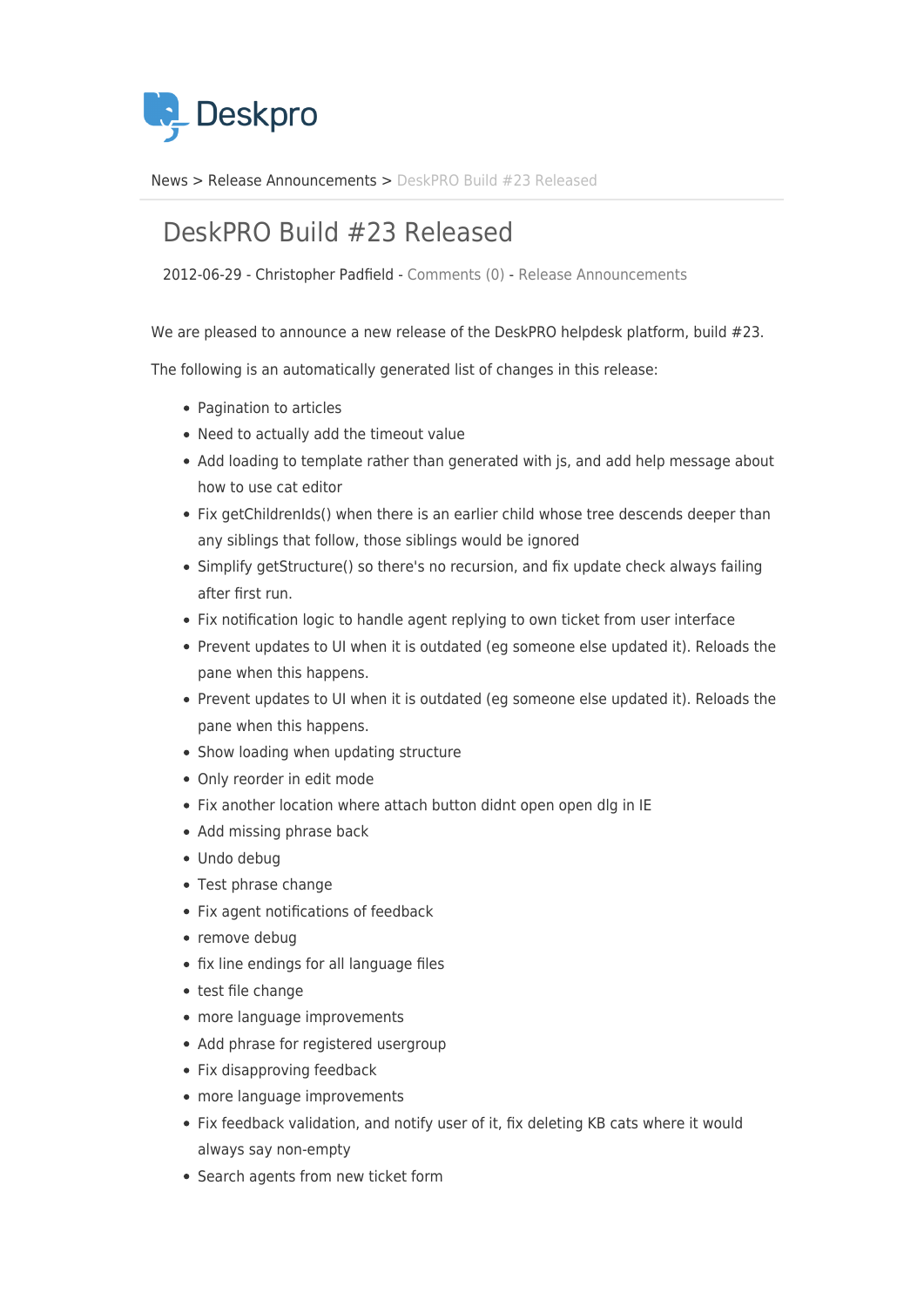

[News](https://support.deskpro.com/sv/news) > [Release Announcements](https://support.deskpro.com/sv/news/release-announcements) > [DeskPRO Build #23 Released](https://support.deskpro.com/sv/news/posts/deskpro-build-23-released)

## DeskPRO Build #23 Released

2012-06-29 - Christopher Padfield - [Comments \(0\)](#page--1-0) - [Release Announcements](https://support.deskpro.com/sv/news/release-announcements)

We are pleased to announce a new release of the DeskPRO helpdesk platform, build #23.

The following is an automatically generated list of changes in this release:

- Pagination to articles
- Need to actually add the timeout value
- Add loading to template rather than generated with js, and add help message about how to use cat editor
- Fix getChildrenIds() when there is an earlier child whose tree descends deeper than any siblings that follow, those siblings would be ignored
- Simplify getStructure() so there's no recursion, and fix update check always failing after first run.
- Fix notification logic to handle agent replying to own ticket from user interface
- Prevent updates to UI when it is outdated (eg someone else updated it). Reloads the pane when this happens.
- Prevent updates to UI when it is outdated (eg someone else updated it). Reloads the pane when this happens.
- Show loading when updating structure
- Only reorder in edit mode
- Fix another location where attach button didnt open open dlg in IE
- Add missing phrase back
- Undo debug
- Test phrase change
- Fix agent notifications of feedback
- remove debug
- fix line endings for all language files
- test file change
- more language improvements
- Add phrase for registered usergroup
- Fix disapproving feedback
- more language improvements
- Fix feedback validation, and notify user of it, fix deleting KB cats where it would always say non-empty
- Search agents from new ticket form